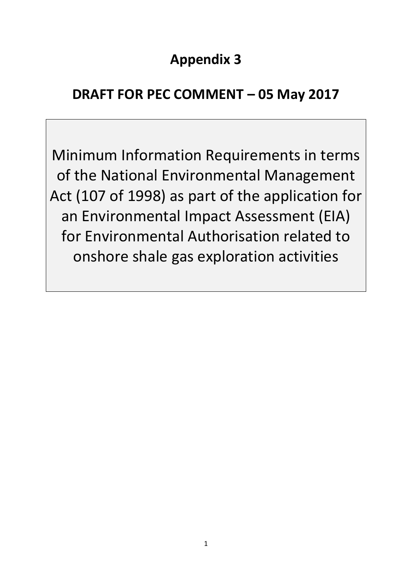# **Appendix 3**

# **DRAFT FOR PEC COMMENT – 05 May 2017**

Minimum Information Requirements in terms of the National Environmental Management Act (107 of 1998) as part of the application for an Environmental Impact Assessment (EIA) for Environmental Authorisation related to onshore shale gas exploration activities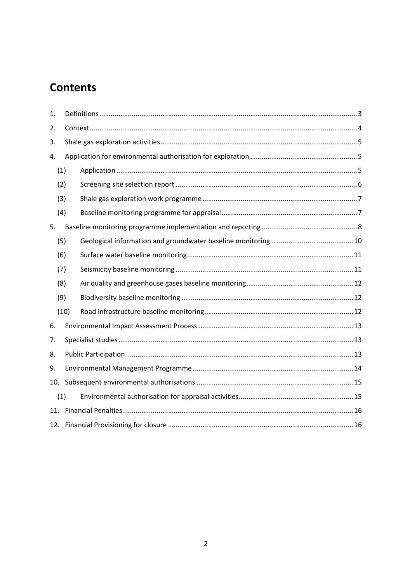## **Contents**

| 1.  |      |  |  |  |  |  |
|-----|------|--|--|--|--|--|
| 2.  |      |  |  |  |  |  |
| 3.  |      |  |  |  |  |  |
| 4.  |      |  |  |  |  |  |
| (1) |      |  |  |  |  |  |
|     | (2)  |  |  |  |  |  |
|     | (3)  |  |  |  |  |  |
|     | (4)  |  |  |  |  |  |
| 5.  |      |  |  |  |  |  |
|     | (5)  |  |  |  |  |  |
|     | (6)  |  |  |  |  |  |
|     | (7)  |  |  |  |  |  |
|     | (8)  |  |  |  |  |  |
|     | (9)  |  |  |  |  |  |
|     | (10) |  |  |  |  |  |
| 6.  |      |  |  |  |  |  |
| 7.  |      |  |  |  |  |  |
| 8.  |      |  |  |  |  |  |
| 9.  |      |  |  |  |  |  |
| 10. |      |  |  |  |  |  |
|     | (1)  |  |  |  |  |  |
|     |      |  |  |  |  |  |
|     |      |  |  |  |  |  |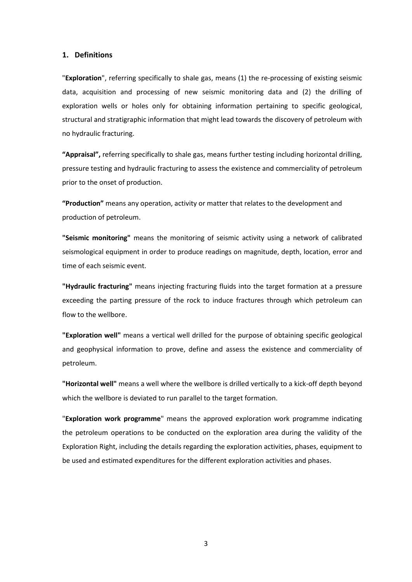#### <span id="page-2-0"></span>**1. Definitions**

"**Exploration**", referring specifically to shale gas, means (1) the re-processing of existing seismic data, acquisition and processing of new seismic monitoring data and (2) the drilling of exploration wells or holes only for obtaining information pertaining to specific geological, structural and stratigraphic information that might lead towards the discovery of petroleum with no hydraulic fracturing.

**"Appraisal",** referring specifically to shale gas, means further testing including horizontal drilling, pressure testing and hydraulic fracturing to assess the existence and commerciality of petroleum prior to the onset of production.

**"Production"** means any operation, activity or matter that relates to the development and production of petroleum.

**"Seismic monitoring"** means the monitoring of seismic activity using a network of calibrated seismological equipment in order to produce readings on magnitude, depth, location, error and time of each seismic event.

**"Hydraulic fracturing"** means injecting fracturing fluids into the target formation at a pressure exceeding the parting pressure of the rock to induce fractures through which petroleum can flow to the wellbore.

**"Exploration well"** means a vertical well drilled for the purpose of obtaining specific geological and geophysical information to prove, define and assess the existence and commerciality of petroleum.

**"Horizontal well"** means a well where the wellbore is drilled vertically to a kick-off depth beyond which the wellbore is deviated to run parallel to the target formation.

"**Exploration work programme**" means the approved exploration work programme indicating the petroleum operations to be conducted on the exploration area during the validity of the Exploration Right, including the details regarding the exploration activities, phases, equipment to be used and estimated expenditures for the different exploration activities and phases.

3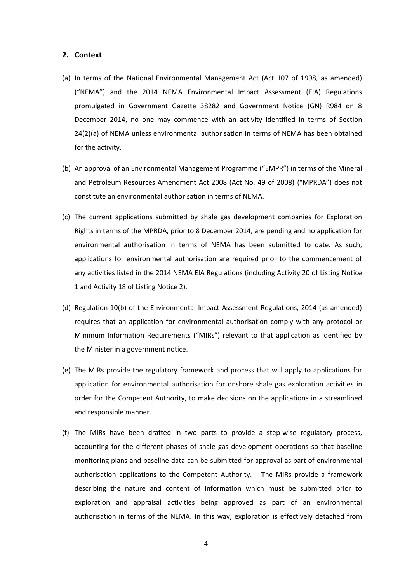#### <span id="page-3-0"></span>**2. Context**

- (a) In terms of the National Environmental Management Act (Act 107 of 1998, as amended) ("NEMA") and the 2014 NEMA Environmental Impact Assessment (EIA) Regulations promulgated in Government Gazette 38282 and Government Notice (GN) R984 on 8 December 2014, no one may commence with an activity identified in terms of Section 24(2)(a) of NEMA unless environmental authorisation in terms of NEMA has been obtained for the activity.
- (b) An approval of an Environmental Management Programme ("EMPR") in terms of the Mineral and Petroleum Resources Amendment Act 2008 (Act No. 49 of 2008) ("MPRDA") does not constitute an environmental authorisation in terms of NEMA.
- (c) The current applications submitted by shale gas development companies for Exploration Rights in terms of the MPRDA, prior to 8 December 2014, are pending and no application for environmental authorisation in terms of NEMA has been submitted to date. As such, applications for environmental authorisation are required prior to the commencement of any activities listed in the 2014 NEMA EIA Regulations (including Activity 20 of Listing Notice 1 and Activity 18 of Listing Notice 2).
- (d) Regulation 10(b) of the Environmental Impact Assessment Regulations, 2014 (as amended) requires that an application for environmental authorisation comply with any protocol or Minimum Information Requirements ("MIRs") relevant to that application as identified by the Minister in a government notice.
- (e) The MIRs provide the regulatory framework and process that will apply to applications for application for environmental authorisation for onshore shale gas exploration activities in order for the Competent Authority, to make decisions on the applications in a streamlined and responsible manner.
- (f) The MIRs have been drafted in two parts to provide a step-wise regulatory process, accounting for the different phases of shale gas development operations so that baseline monitoring plans and baseline data can be submitted for approval as part of environmental authorisation applications to the Competent Authority. The MIRs provide a framework describing the nature and content of information which must be submitted prior to exploration and appraisal activities being approved as part of an environmental authorisation in terms of the NEMA. In this way, exploration is effectively detached from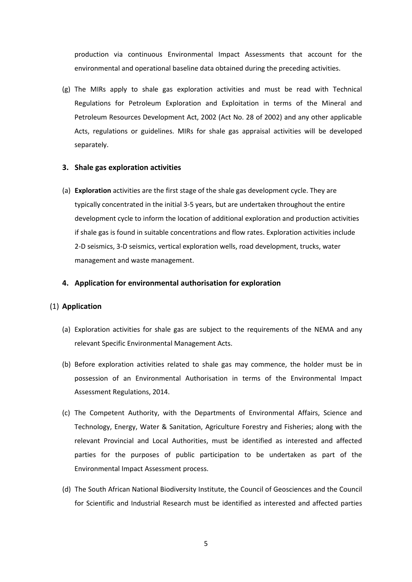production via continuous Environmental Impact Assessments that account for the environmental and operational baseline data obtained during the preceding activities.

(g) The MIRs apply to shale gas exploration activities and must be read with Technical Regulations for Petroleum Exploration and Exploitation in terms of the Mineral and Petroleum Resources Development Act, 2002 (Act No. 28 of 2002) and any other applicable Acts, regulations or guidelines. MIRs for shale gas appraisal activities will be developed separately.

#### <span id="page-4-0"></span>**3. Shale gas exploration activities**

(a) **Exploration** activities are the first stage of the shale gas development cycle. They are typically concentrated in the initial 3-5 years, but are undertaken throughout the entire development cycle to inform the location of additional exploration and production activities if shale gas is found in suitable concentrations and flow rates. Exploration activities include 2-D seismics, 3-D seismics, vertical exploration wells, road development, trucks, water management and waste management.

#### <span id="page-4-1"></span>**4. Application for environmental authorisation for exploration**

#### <span id="page-4-2"></span>(1) **Application**

- (a) Exploration activities for shale gas are subject to the requirements of the NEMA and any relevant Specific Environmental Management Acts.
- (b) Before exploration activities related to shale gas may commence, the holder must be in possession of an Environmental Authorisation in terms of the Environmental Impact Assessment Regulations, 2014.
- (c) The Competent Authority, with the Departments of Environmental Affairs, Science and Technology, Energy, Water & Sanitation, Agriculture Forestry and Fisheries; along with the relevant Provincial and Local Authorities, must be identified as interested and affected parties for the purposes of public participation to be undertaken as part of the Environmental Impact Assessment process.
- (d) The South African National Biodiversity Institute, the Council of Geosciences and the Council for Scientific and Industrial Research must be identified as interested and affected parties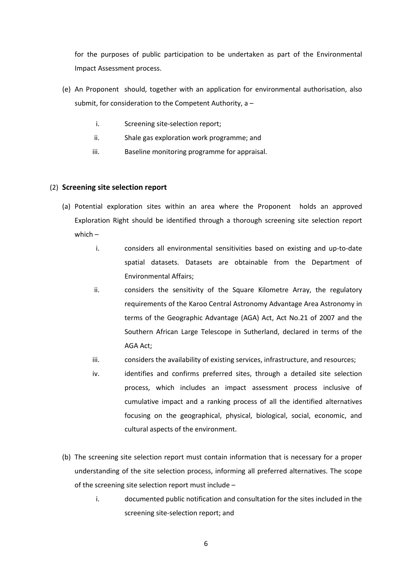for the purposes of public participation to be undertaken as part of the Environmental Impact Assessment process.

- (e) An Proponent should, together with an application for environmental authorisation, also submit, for consideration to the Competent Authority, a –
	- i. Screening site-selection report;
	- ii. Shale gas exploration work programme; and
	- iii. Baseline monitoring programme for appraisal.

#### <span id="page-5-0"></span>(2) **Screening site selection report**

- (a) Potential exploration sites within an area where the Proponent holds an approved Exploration Right should be identified through a thorough screening site selection report which –
	- i. considers all environmental sensitivities based on existing and up-to-date spatial datasets. Datasets are obtainable from the Department of Environmental Affairs;
	- ii. considers the sensitivity of the Square Kilometre Array, the regulatory requirements of the Karoo Central Astronomy Advantage Area Astronomy in terms of the Geographic Advantage (AGA) Act, Act No.21 of 2007 and the Southern African Large Telescope in Sutherland, declared in terms of the AGA Act;
	- iii. considers the availability of existing services, infrastructure, and resources;
	- iv. identifies and confirms preferred sites, through a detailed site selection process, which includes an impact assessment process inclusive of cumulative impact and a ranking process of all the identified alternatives focusing on the geographical, physical, biological, social, economic, and cultural aspects of the environment.
- (b) The screening site selection report must contain information that is necessary for a proper understanding of the site selection process, informing all preferred alternatives. The scope of the screening site selection report must include –
	- i. documented public notification and consultation for the sites included in the screening site-selection report; and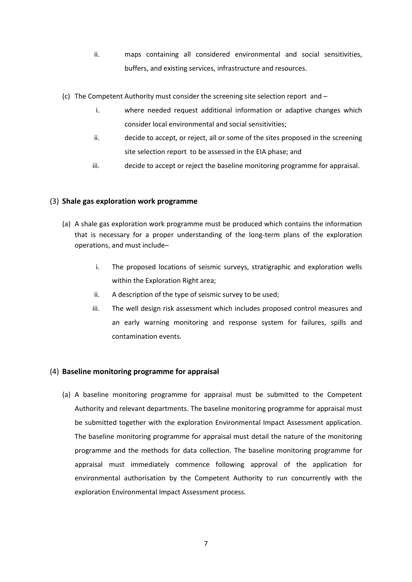- ii. maps containing all considered environmental and social sensitivities, buffers, and existing services, infrastructure and resources.
- (c) The Competent Authority must consider the screening site selection report and
	- i. where needed request additional information or adaptive changes which consider local environmental and social sensitivities;
	- ii. decide to accept, or reject, all or some of the sites proposed in the screening site selection report to be assessed in the EIA phase; and
	- iii. decide to accept or reject the baseline monitoring programme for appraisal.

#### <span id="page-6-0"></span>(3) **Shale gas exploration work programme**

- (a) A shale gas exploration work programme must be produced which contains the information that is necessary for a proper understanding of the long-term plans of the exploration operations, and must include–
	- i. The proposed locations of seismic surveys, stratigraphic and exploration wells within the Exploration Right area;
	- ii. A description of the type of seismic survey to be used;
	- iii. The well design risk assessment which includes proposed control measures and an early warning monitoring and response system for failures, spills and contamination events.

#### <span id="page-6-1"></span>(4) **Baseline monitoring programme for appraisal**

(a) A baseline monitoring programme for appraisal must be submitted to the Competent Authority and relevant departments. The baseline monitoring programme for appraisal must be submitted together with the exploration Environmental Impact Assessment application. The baseline monitoring programme for appraisal must detail the nature of the monitoring programme and the methods for data collection. The baseline monitoring programme for appraisal must immediately commence following approval of the application for environmental authorisation by the Competent Authority to run concurrently with the exploration Environmental Impact Assessment process.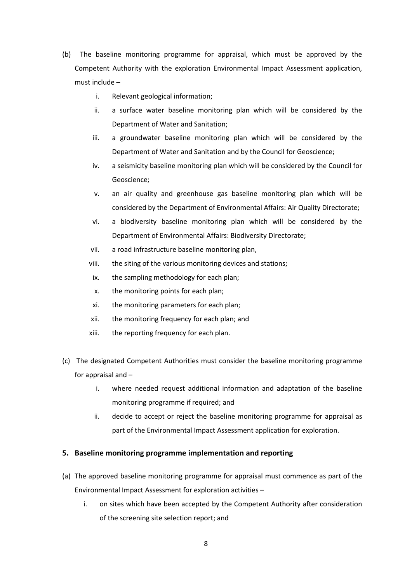- (b) The baseline monitoring programme for appraisal, which must be approved by the Competent Authority with the exploration Environmental Impact Assessment application, must include –
	- i. Relevant geological information;
	- ii. a surface water baseline monitoring plan which will be considered by the Department of Water and Sanitation;
	- iii. a groundwater baseline monitoring plan which will be considered by the Department of Water and Sanitation and by the Council for Geoscience;
	- iv. a seismicity baseline monitoring plan which will be considered by the Council for Geoscience;
	- v. an air quality and greenhouse gas baseline monitoring plan which will be considered by the Department of Environmental Affairs: Air Quality Directorate;
	- vi. a biodiversity baseline monitoring plan which will be considered by the Department of Environmental Affairs: Biodiversity Directorate;
	- vii. a road infrastructure baseline monitoring plan,
	- viii. the siting of the various monitoring devices and stations;
	- ix. the sampling methodology for each plan;
	- x. the monitoring points for each plan;
	- xi. the monitoring parameters for each plan;
	- xii. the monitoring frequency for each plan; and
	- xiii. the reporting frequency for each plan.
- (c) The designated Competent Authorities must consider the baseline monitoring programme for appraisal and –
	- i. where needed request additional information and adaptation of the baseline monitoring programme if required; and
	- ii. decide to accept or reject the baseline monitoring programme for appraisal as part of the Environmental Impact Assessment application for exploration.

#### <span id="page-7-0"></span>**5. Baseline monitoring programme implementation and reporting**

- (a) The approved baseline monitoring programme for appraisal must commence as part of the Environmental Impact Assessment for exploration activities –
	- i. on sites which have been accepted by the Competent Authority after consideration of the screening site selection report; and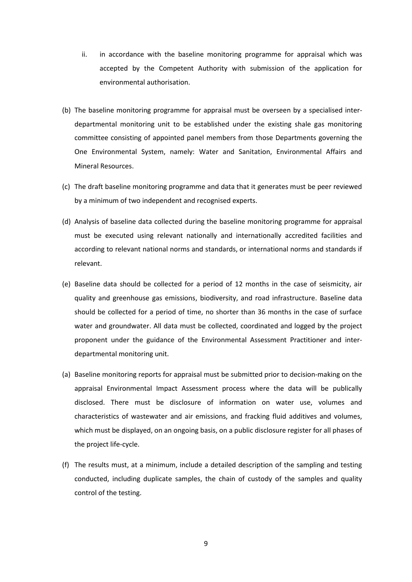- ii. in accordance with the baseline monitoring programme for appraisal which was accepted by the Competent Authority with submission of the application for environmental authorisation.
- (b) The baseline monitoring programme for appraisal must be overseen by a specialised interdepartmental monitoring unit to be established under the existing shale gas monitoring committee consisting of appointed panel members from those Departments governing the One Environmental System, namely: Water and Sanitation, Environmental Affairs and Mineral Resources.
- (c) The draft baseline monitoring programme and data that it generates must be peer reviewed by a minimum of two independent and recognised experts.
- (d) Analysis of baseline data collected during the baseline monitoring programme for appraisal must be executed using relevant nationally and internationally accredited facilities and according to relevant national norms and standards, or international norms and standards if relevant.
- (e) Baseline data should be collected for a period of 12 months in the case of seismicity, air quality and greenhouse gas emissions, biodiversity, and road infrastructure. Baseline data should be collected for a period of time, no shorter than 36 months in the case of surface water and groundwater. All data must be collected, coordinated and logged by the project proponent under the guidance of the Environmental Assessment Practitioner and interdepartmental monitoring unit.
- (a) Baseline monitoring reports for appraisal must be submitted prior to decision-making on the appraisal Environmental Impact Assessment process where the data will be publically disclosed. There must be disclosure of information on water use, volumes and characteristics of wastewater and air emissions, and fracking fluid additives and volumes, which must be displayed, on an ongoing basis, on a public disclosure register for all phases of the project life-cycle.
- (f) The results must, at a minimum, include a detailed description of the sampling and testing conducted, including duplicate samples, the chain of custody of the samples and quality control of the testing.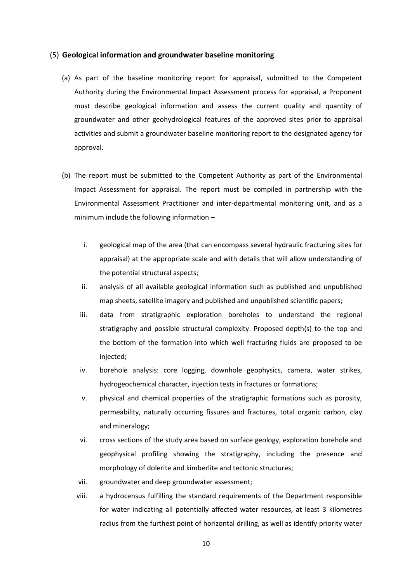#### <span id="page-9-0"></span>(5) **Geological information and groundwater baseline monitoring**

- (a) As part of the baseline monitoring report for appraisal, submitted to the Competent Authority during the Environmental Impact Assessment process for appraisal, a Proponent must describe geological information and assess the current quality and quantity of groundwater and other geohydrological features of the approved sites prior to appraisal activities and submit a groundwater baseline monitoring report to the designated agency for approval.
- (b) The report must be submitted to the Competent Authority as part of the Environmental Impact Assessment for appraisal. The report must be compiled in partnership with the Environmental Assessment Practitioner and inter-departmental monitoring unit, and as a minimum include the following information –
	- i. geological map of the area (that can encompass several hydraulic fracturing sites for appraisal) at the appropriate scale and with details that will allow understanding of the potential structural aspects;
	- ii. analysis of all available geological information such as published and unpublished map sheets, satellite imagery and published and unpublished scientific papers;
	- iii. data from stratigraphic exploration boreholes to understand the regional stratigraphy and possible structural complexity. Proposed depth(s) to the top and the bottom of the formation into which well fracturing fluids are proposed to be injected;
	- iv. borehole analysis: core logging, downhole geophysics, camera, water strikes, hydrogeochemical character, injection tests in fractures or formations;
	- v. physical and chemical properties of the stratigraphic formations such as porosity, permeability, naturally occurring fissures and fractures, total organic carbon, clay and mineralogy;
	- vi. cross sections of the study area based on surface geology, exploration borehole and geophysical profiling showing the stratigraphy, including the presence and morphology of dolerite and kimberlite and tectonic structures;
	- vii. groundwater and deep groundwater assessment;
	- viii. a hydrocensus fulfilling the standard requirements of the Department responsible for water indicating all potentially affected water resources, at least 3 kilometres radius from the furthest point of horizontal drilling, as well as identify priority water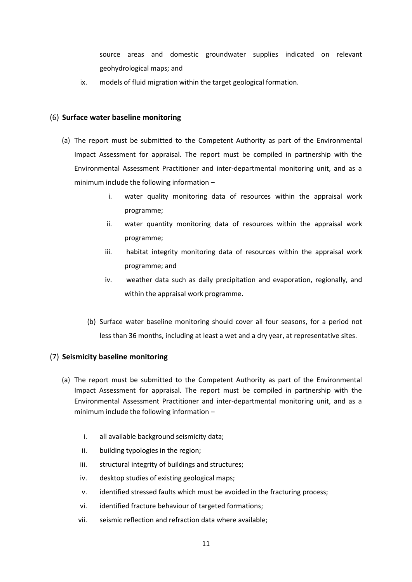source areas and domestic groundwater supplies indicated on relevant geohydrological maps; and

ix. models of fluid migration within the target geological formation.

#### <span id="page-10-0"></span>(6) **Surface water baseline monitoring**

- (a) The report must be submitted to the Competent Authority as part of the Environmental Impact Assessment for appraisal. The report must be compiled in partnership with the Environmental Assessment Practitioner and inter-departmental monitoring unit, and as a minimum include the following information –
	- i. water quality monitoring data of resources within the appraisal work programme;
	- ii. water quantity monitoring data of resources within the appraisal work programme;
	- iii. habitat integrity monitoring data of resources within the appraisal work programme; and
	- iv. weather data such as daily precipitation and evaporation, regionally, and within the appraisal work programme.
	- (b) Surface water baseline monitoring should cover all four seasons, for a period not less than 36 months, including at least a wet and a dry year, at representative sites.

#### <span id="page-10-1"></span>(7) **Seismicity baseline monitoring**

- (a) The report must be submitted to the Competent Authority as part of the Environmental Impact Assessment for appraisal. The report must be compiled in partnership with the Environmental Assessment Practitioner and inter-departmental monitoring unit, and as a minimum include the following information –
	- i. all available background seismicity data;
	- ii. building typologies in the region;
	- iii. structural integrity of buildings and structures;
	- iv. desktop studies of existing geological maps;
	- v. identified stressed faults which must be avoided in the fracturing process;
	- vi. identified fracture behaviour of targeted formations;
	- vii. seismic reflection and refraction data where available;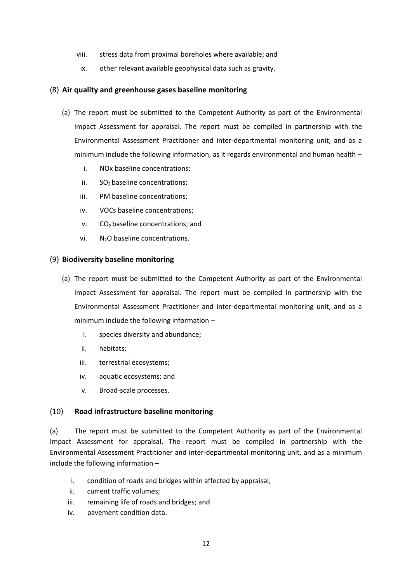- viii. stress data from proximal boreholes where available; and
- ix. other relevant available geophysical data such as gravity.

#### <span id="page-11-0"></span>(8) **Air quality and greenhouse gases baseline monitoring**

- (a) The report must be submitted to the Competent Authority as part of the Environmental Impact Assessment for appraisal. The report must be compiled in partnership with the Environmental Assessment Practitioner and inter-departmental monitoring unit, and as a minimum include the following information, as it regards environmental and human health –
	- i. NOx baseline concentrations;
	- ii.  $SO<sub>2</sub>$  baseline concentrations;
	- iii. PM baseline concentrations;
	- iv. VOCs baseline concentrations;
	- $v.$  CO<sub>2</sub> baseline concentrations; and
	- vi.  $N_2O$  baseline concentrations.

#### <span id="page-11-1"></span>(9) **Biodiversity baseline monitoring**

- (a) The report must be submitted to the Competent Authority as part of the Environmental Impact Assessment for appraisal. The report must be compiled in partnership with the Environmental Assessment Practitioner and inter-departmental monitoring unit, and as a minimum include the following information –
	- i. species diversity and abundance;
	- ii. habitats;
	- iii. terrestrial ecosystems;
	- iv. aquatic ecosystems; and
	- v. Broad-scale processes.

#### <span id="page-11-2"></span>(10) **Road infrastructure baseline monitoring**

(a) The report must be submitted to the Competent Authority as part of the Environmental Impact Assessment for appraisal. The report must be compiled in partnership with the Environmental Assessment Practitioner and inter-departmental monitoring unit, and as a minimum include the following information –

- i. condition of roads and bridges within affected by appraisal;
- ii. current traffic volumes;
- iii. remaining life of roads and bridges; and
- iv. pavement condition data.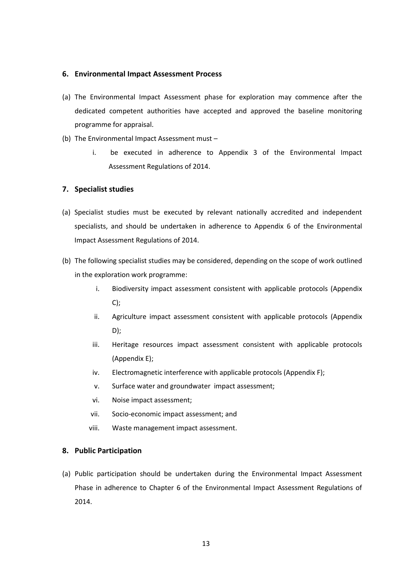#### <span id="page-12-0"></span>**6. Environmental Impact Assessment Process**

- (a) The Environmental Impact Assessment phase for exploration may commence after the dedicated competent authorities have accepted and approved the baseline monitoring programme for appraisal.
- (b) The Environmental Impact Assessment must
	- i. be executed in adherence to Appendix 3 of the Environmental Impact Assessment Regulations of 2014.

#### <span id="page-12-1"></span>**7. Specialist studies**

- (a) Specialist studies must be executed by relevant nationally accredited and independent specialists, and should be undertaken in adherence to Appendix 6 of the Environmental Impact Assessment Regulations of 2014.
- (b) The following specialist studies may be considered, depending on the scope of work outlined in the exploration work programme:
	- i. Biodiversity impact assessment consistent with applicable protocols (Appendix C);
	- ii. Agriculture impact assessment consistent with applicable protocols (Appendix D);
	- iii. Heritage resources impact assessment consistent with applicable protocols (Appendix E);
	- iv. Electromagnetic interference with applicable protocols (Appendix F);
	- v. Surface water and groundwater impact assessment;
	- vi. Noise impact assessment;
	- vii. Socio-economic impact assessment; and
	- viii. Waste management impact assessment.

#### <span id="page-12-2"></span>**8. Public Participation**

(a) Public participation should be undertaken during the Environmental Impact Assessment Phase in adherence to Chapter 6 of the Environmental Impact Assessment Regulations of 2014.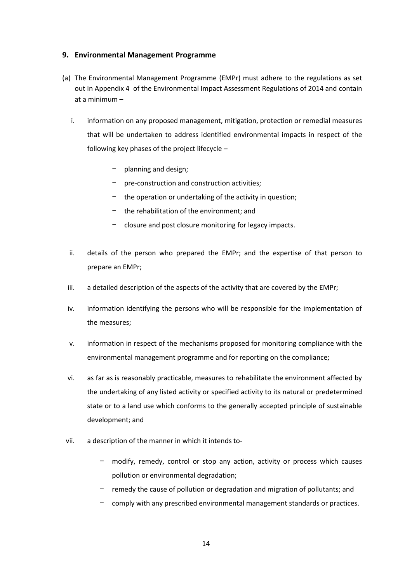#### <span id="page-13-0"></span>**9. Environmental Management Programme**

- (a) The Environmental Management Programme (EMPr) must adhere to the regulations as set out in Appendix 4 of the Environmental Impact Assessment Regulations of 2014 and contain at a minimum –
	- i. information on any proposed management, mitigation, protection or remedial measures that will be undertaken to address identified environmental impacts in respect of the following key phases of the project lifecycle –
		- − planning and design;
		- − pre-construction and construction activities;
		- − the operation or undertaking of the activity in question;
		- − the rehabilitation of the environment; and
		- − closure and post closure monitoring for legacy impacts.
	- ii. details of the person who prepared the EMPr; and the expertise of that person to prepare an EMPr;
	- iii. a detailed description of the aspects of the activity that are covered by the EMPr;
	- iv. information identifying the persons who will be responsible for the implementation of the measures;
	- v. information in respect of the mechanisms proposed for monitoring compliance with the environmental management programme and for reporting on the compliance;
	- vi. as far as is reasonably practicable, measures to rehabilitate the environment affected by the undertaking of any listed activity or specified activity to its natural or predetermined state or to a land use which conforms to the generally accepted principle of sustainable development; and
- vii. a description of the manner in which it intends to-
	- − modify, remedy, control or stop any action, activity or process which causes pollution or environmental degradation;
	- − remedy the cause of pollution or degradation and migration of pollutants; and
	- − comply with any prescribed environmental management standards or practices.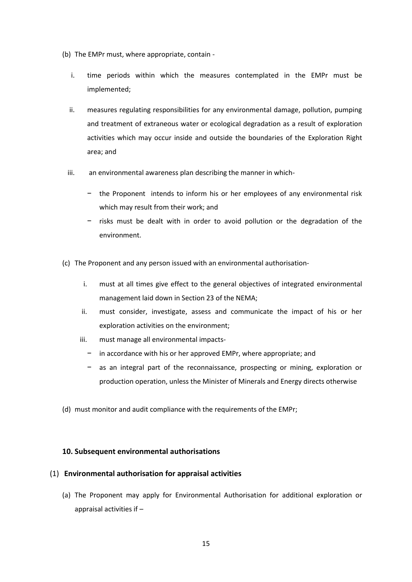- (b) The EMPr must, where appropriate, contain
	- i. time periods within which the measures contemplated in the EMPr must be implemented;
	- ii. measures regulating responsibilities for any environmental damage, pollution, pumping and treatment of extraneous water or ecological degradation as a result of exploration activities which may occur inside and outside the boundaries of the Exploration Right area; and
	- iii. an environmental awareness plan describing the manner in which-
		- − the Proponent intends to inform his or her employees of any environmental risk which may result from their work; and
		- − risks must be dealt with in order to avoid pollution or the degradation of the environment.
- (c) The Proponent and any person issued with an environmental authorisation
	- i. must at all times give effect to the general objectives of integrated environmental management laid down in Section 23 of the NEMA;
	- ii. must consider, investigate, assess and communicate the impact of his or her exploration activities on the environment;
	- iii. must manage all environmental impacts
		- in accordance with his or her approved EMPr, where appropriate; and
		- − as an integral part of the reconnaissance, prospecting or mining, exploration or production operation, unless the Minister of Minerals and Energy directs otherwise
- (d) must monitor and audit compliance with the requirements of the EMPr;

#### <span id="page-14-0"></span>**10. Subsequent environmental authorisations**

#### <span id="page-14-1"></span>(1) **Environmental authorisation for appraisal activities**

(a) The Proponent may apply for Environmental Authorisation for additional exploration or appraisal activities if –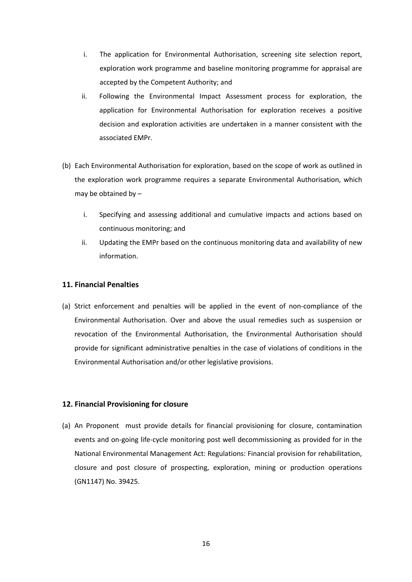- i. The application for Environmental Authorisation, screening site selection report, exploration work programme and baseline monitoring programme for appraisal are accepted by the Competent Authority; and
- ii. Following the Environmental Impact Assessment process for exploration, the application for Environmental Authorisation for exploration receives a positive decision and exploration activities are undertaken in a manner consistent with the associated EMPr.
- (b) Each Environmental Authorisation for exploration, based on the scope of work as outlined in the exploration work programme requires a separate Environmental Authorisation, which may be obtained by –
	- i. Specifying and assessing additional and cumulative impacts and actions based on continuous monitoring; and
	- ii. Updating the EMPr based on the continuous monitoring data and availability of new information.

#### <span id="page-15-0"></span>**11. Financial Penalties**

(a) Strict enforcement and penalties will be applied in the event of non-compliance of the Environmental Authorisation. Over and above the usual remedies such as suspension or revocation of the Environmental Authorisation, the Environmental Authorisation should provide for significant administrative penalties in the case of violations of conditions in the Environmental Authorisation and/or other legislative provisions.

#### <span id="page-15-1"></span>**12. Financial Provisioning for closure**

(a) An Proponent must provide details for financial provisioning for closure, contamination events and on-going life-cycle monitoring post well decommissioning as provided for in the National Environmental Management Act: Regulations: Financial provision for rehabilitation, closure and post closure of prospecting, exploration, mining or production operations (GN1147) No. 39425.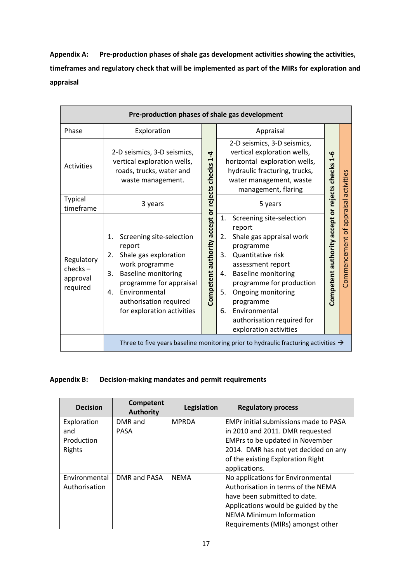**Appendix A: Pre-production phases of shale gas development activities showing the activities, timeframes and regulatory check that will be implemented as part of the MIRs for exploration and appraisal**

| Pre-production phases of shale gas development  |                                                                                                                                                                                                                                         |  |                                                                                                                                                                                                                                                                                                                                 |                                                  |                  |  |
|-------------------------------------------------|-----------------------------------------------------------------------------------------------------------------------------------------------------------------------------------------------------------------------------------------|--|---------------------------------------------------------------------------------------------------------------------------------------------------------------------------------------------------------------------------------------------------------------------------------------------------------------------------------|--------------------------------------------------|------------------|--|
| Phase                                           | Exploration                                                                                                                                                                                                                             |  | Appraisal                                                                                                                                                                                                                                                                                                                       |                                                  |                  |  |
| <b>Activities</b>                               | 2-D seismics, 3-D seismics,<br>vertical exploration wells,<br>roads, trucks, water and<br>waste management.                                                                                                                             |  | 2-D seismics, 3-D seismics,<br>vertical exploration wells,<br>horizontal exploration wells,<br>hydraulic fracturing, trucks,<br>water management, waste<br>management, flaring                                                                                                                                                  |                                                  | activities       |  |
| Typical<br>timeframe                            | 3 years                                                                                                                                                                                                                                 |  | 5 years                                                                                                                                                                                                                                                                                                                         |                                                  | <b>lesie dde</b> |  |
| Regulatory<br>$check -$<br>approval<br>required | Screening site-selection<br>1.<br>report<br>Shale gas exploration<br>2.<br>work programme<br><b>Baseline monitoring</b><br>3.<br>programme for appraisal<br>Environmental<br>4.<br>authorisation required<br>for exploration activities |  | Screening site-selection<br>1.<br>report<br>Shale gas appraisal work<br>2.<br>programme<br>Quantitative risk<br>3.<br>assessment report<br><b>Baseline monitoring</b><br>4.<br>programme for production<br>5.<br>Ongoing monitoring<br>programme<br>Environmental<br>6.<br>authorisation required for<br>exploration activities | Competent authority accept or rejects checks 1-6 | Commencement of  |  |
|                                                 | Three to five years baseline monitoring prior to hydraulic fracturing activities $\rightarrow$                                                                                                                                          |  |                                                                                                                                                                                                                                                                                                                                 |                                                  |                  |  |

#### **Appendix B: Decision-making mandates and permit requirements**

| <b>Decision</b> | Competent<br><b>Authority</b> | Legislation  | <b>Regulatory process</b>                    |
|-----------------|-------------------------------|--------------|----------------------------------------------|
| Exploration     | DMR and                       | <b>MPRDA</b> | <b>EMPr initial submissions made to PASA</b> |
| and             | <b>PASA</b>                   |              | in 2010 and 2011. DMR requested              |
| Production      |                               |              | EMPrs to be updated in November              |
| Rights          |                               |              | 2014. DMR has not yet decided on any         |
|                 |                               |              | of the existing Exploration Right            |
|                 |                               |              | applications.                                |
| Environmental   | DMR and PASA                  | <b>NFMA</b>  | No applications for Environmental            |
| Authorisation   |                               |              | Authorisation in terms of the NEMA           |
|                 |                               |              | have been submitted to date.                 |
|                 |                               |              | Applications would be guided by the          |
|                 |                               |              | <b>NEMA Minimum Information</b>              |
|                 |                               |              | Requirements (MIRs) amongst other            |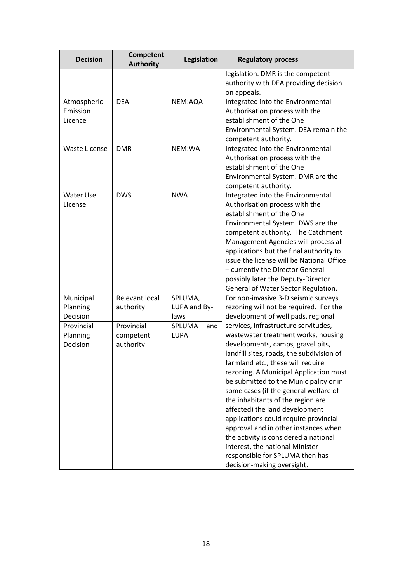| <b>Decision</b>                    | <b>Competent</b><br><b>Authority</b> | Legislation                     | <b>Regulatory process</b>                                                                                                                                                                                                                                                                                                                                                                                                                                                                                                                                                                                                            |
|------------------------------------|--------------------------------------|---------------------------------|--------------------------------------------------------------------------------------------------------------------------------------------------------------------------------------------------------------------------------------------------------------------------------------------------------------------------------------------------------------------------------------------------------------------------------------------------------------------------------------------------------------------------------------------------------------------------------------------------------------------------------------|
|                                    |                                      |                                 | legislation. DMR is the competent<br>authority with DEA providing decision<br>on appeals.                                                                                                                                                                                                                                                                                                                                                                                                                                                                                                                                            |
| Atmospheric<br>Emission<br>Licence | <b>DEA</b>                           | NEM:AQA                         | Integrated into the Environmental<br>Authorisation process with the<br>establishment of the One<br>Environmental System. DEA remain the<br>competent authority.                                                                                                                                                                                                                                                                                                                                                                                                                                                                      |
| <b>Waste License</b>               | <b>DMR</b>                           | NEM:WA                          | Integrated into the Environmental<br>Authorisation process with the<br>establishment of the One<br>Environmental System. DMR are the<br>competent authority.                                                                                                                                                                                                                                                                                                                                                                                                                                                                         |
| <b>Water Use</b><br>License        | <b>DWS</b>                           | <b>NWA</b>                      | Integrated into the Environmental<br>Authorisation process with the<br>establishment of the One<br>Environmental System. DWS are the<br>competent authority. The Catchment<br>Management Agencies will process all<br>applications but the final authority to<br>issue the license will be National Office<br>- currently the Director General<br>possibly later the Deputy-Director<br>General of Water Sector Regulation.                                                                                                                                                                                                          |
| Municipal<br>Planning<br>Decision  | Relevant local<br>authority          | SPLUMA,<br>LUPA and By-<br>laws | For non-invasive 3-D seismic surveys<br>rezoning will not be required. For the<br>development of well pads, regional                                                                                                                                                                                                                                                                                                                                                                                                                                                                                                                 |
| Provincial<br>Planning<br>Decision | Provincial<br>competent<br>authority | SPLUMA<br>and<br><b>LUPA</b>    | services, infrastructure servitudes,<br>wastewater treatment works, housing<br>developments, camps, gravel pits,<br>landfill sites, roads, the subdivision of<br>farmland etc., these will require<br>rezoning. A Municipal Application must<br>be submitted to the Municipality or in<br>some cases (if the general welfare of<br>the inhabitants of the region are<br>affected) the land development<br>applications could require provincial<br>approval and in other instances when<br>the activity is considered a national<br>interest, the national Minister<br>responsible for SPLUMA then has<br>decision-making oversight. |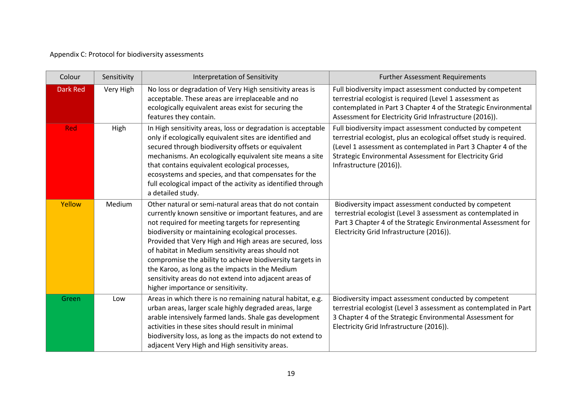### Appendix C: Protocol for biodiversity assessments

| Colour          | Sensitivity                                                                                                                                                                                                                                                                                                                                                                                                                                       | Interpretation of Sensitivity                                                                                                                                                                                                                                                                                                                                                                                                                                                                                                                                 | <b>Further Assessment Requirements</b>                                                                                                                                                                                                                                                    |
|-----------------|---------------------------------------------------------------------------------------------------------------------------------------------------------------------------------------------------------------------------------------------------------------------------------------------------------------------------------------------------------------------------------------------------------------------------------------------------|---------------------------------------------------------------------------------------------------------------------------------------------------------------------------------------------------------------------------------------------------------------------------------------------------------------------------------------------------------------------------------------------------------------------------------------------------------------------------------------------------------------------------------------------------------------|-------------------------------------------------------------------------------------------------------------------------------------------------------------------------------------------------------------------------------------------------------------------------------------------|
| <b>Dark Red</b> | Very High                                                                                                                                                                                                                                                                                                                                                                                                                                         | No loss or degradation of Very High sensitivity areas is<br>acceptable. These areas are irreplaceable and no<br>ecologically equivalent areas exist for securing the<br>features they contain.                                                                                                                                                                                                                                                                                                                                                                | Full biodiversity impact assessment conducted by competent<br>terrestrial ecologist is required (Level 1 assessment as<br>contemplated in Part 3 Chapter 4 of the Strategic Environmental<br>Assessment for Electricity Grid Infrastructure (2016)).                                      |
| <b>Red</b>      | High<br>In High sensitivity areas, loss or degradation is acceptable<br>only if ecologically equivalent sites are identified and<br>secured through biodiversity offsets or equivalent<br>mechanisms. An ecologically equivalent site means a site<br>that contains equivalent ecological processes,<br>ecosystems and species, and that compensates for the<br>full ecological impact of the activity as identified through<br>a detailed study. |                                                                                                                                                                                                                                                                                                                                                                                                                                                                                                                                                               | Full biodiversity impact assessment conducted by competent<br>terrestrial ecologist, plus an ecological offset study is required.<br>(Level 1 assessment as contemplated in Part 3 Chapter 4 of the<br>Strategic Environmental Assessment for Electricity Grid<br>Infrastructure (2016)). |
| Yellow          | Medium                                                                                                                                                                                                                                                                                                                                                                                                                                            | Other natural or semi-natural areas that do not contain<br>currently known sensitive or important features, and are<br>not required for meeting targets for representing<br>biodiversity or maintaining ecological processes.<br>Provided that Very High and High areas are secured, loss<br>of habitat in Medium sensitivity areas should not<br>compromise the ability to achieve biodiversity targets in<br>the Karoo, as long as the impacts in the Medium<br>sensitivity areas do not extend into adjacent areas of<br>higher importance or sensitivity. | Biodiversity impact assessment conducted by competent<br>terrestrial ecologist (Level 3 assessment as contemplated in<br>Part 3 Chapter 4 of the Strategic Environmental Assessment for<br>Electricity Grid Infrastructure (2016)).                                                       |
| Green           | Low                                                                                                                                                                                                                                                                                                                                                                                                                                               | Areas in which there is no remaining natural habitat, e.g.<br>urban areas, larger scale highly degraded areas, large<br>arable intensively farmed lands. Shale gas development<br>activities in these sites should result in minimal<br>biodiversity loss, as long as the impacts do not extend to<br>adjacent Very High and High sensitivity areas.                                                                                                                                                                                                          | Biodiversity impact assessment conducted by competent<br>terrestrial ecologist (Level 3 assessment as contemplated in Part<br>3 Chapter 4 of the Strategic Environmental Assessment for<br>Electricity Grid Infrastructure (2016)).                                                       |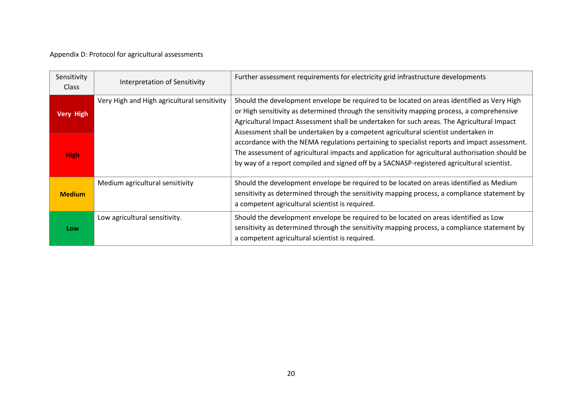### Appendix D: Protocol for agricultural assessments

| Sensitivity<br><b>Class</b> | Interpretation of Sensitivity               | Further assessment requirements for electricity grid infrastructure developments                                                                                                                                                                                                                                                                                                    |
|-----------------------------|---------------------------------------------|-------------------------------------------------------------------------------------------------------------------------------------------------------------------------------------------------------------------------------------------------------------------------------------------------------------------------------------------------------------------------------------|
| <b>Very High</b>            | Very High and High agricultural sensitivity | Should the development envelope be required to be located on areas identified as Very High<br>or High sensitivity as determined through the sensitivity mapping process, a comprehensive<br>Agricultural Impact Assessment shall be undertaken for such areas. The Agricultural Impact                                                                                              |
| <b>High</b>                 |                                             | Assessment shall be undertaken by a competent agricultural scientist undertaken in<br>accordance with the NEMA regulations pertaining to specialist reports and impact assessment.<br>The assessment of agricultural impacts and application for agricultural authorisation should be<br>by way of a report compiled and signed off by a SACNASP-registered agricultural scientist. |
| <b>Medium</b>               | Medium agricultural sensitivity             | Should the development envelope be required to be located on areas identified as Medium<br>sensitivity as determined through the sensitivity mapping process, a compliance statement by<br>a competent agricultural scientist is required.                                                                                                                                          |
| Low                         | Low agricultural sensitivity.               | Should the development envelope be required to be located on areas identified as Low<br>sensitivity as determined through the sensitivity mapping process, a compliance statement by<br>a competent agricultural scientist is required.                                                                                                                                             |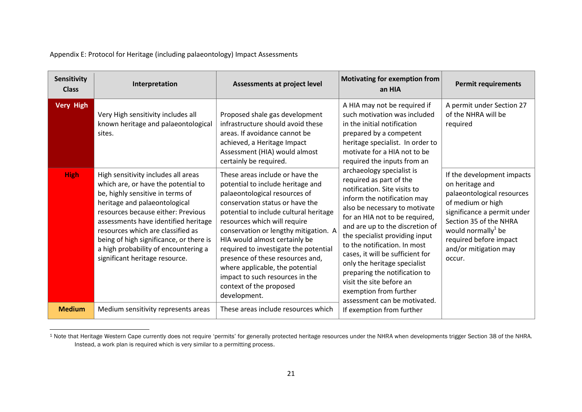Appendix E: Protocol for Heritage (including palaeontology) Impact Assessments

| Sensitivity<br><b>Class</b>     | Interpretation                                                                                                                                                                                                                                                                                                                                   | Assessments at project level                                                                                                                                                                                                                                                                                                                                                                                                                            | <b>Motivating for exemption from</b><br>an HIA                                                                                                                                                                                                                                                                                                                                                                                                            | <b>Permit requirements</b>                                                                                                                                                                                        |
|---------------------------------|--------------------------------------------------------------------------------------------------------------------------------------------------------------------------------------------------------------------------------------------------------------------------------------------------------------------------------------------------|---------------------------------------------------------------------------------------------------------------------------------------------------------------------------------------------------------------------------------------------------------------------------------------------------------------------------------------------------------------------------------------------------------------------------------------------------------|-----------------------------------------------------------------------------------------------------------------------------------------------------------------------------------------------------------------------------------------------------------------------------------------------------------------------------------------------------------------------------------------------------------------------------------------------------------|-------------------------------------------------------------------------------------------------------------------------------------------------------------------------------------------------------------------|
| <b>Very High</b><br><b>High</b> | Very High sensitivity includes all<br>known heritage and palaeontological<br>sites.<br>High sensitivity includes all areas                                                                                                                                                                                                                       | Proposed shale gas development<br>infrastructure should avoid these<br>areas. If avoidance cannot be<br>achieved, a Heritage Impact<br>Assessment (HIA) would almost<br>certainly be required.<br>These areas include or have the                                                                                                                                                                                                                       | A HIA may not be required if<br>such motivation was included<br>in the initial notification<br>prepared by a competent<br>heritage specialist. In order to<br>motivate for a HIA not to be<br>required the inputs from an<br>archaeology specialist is                                                                                                                                                                                                    | A permit under Section 27<br>of the NHRA will be<br>required<br>If the development impacts                                                                                                                        |
|                                 | which are, or have the potential to<br>be, highly sensitive in terms of<br>heritage and palaeontological<br>resources because either: Previous<br>assessments have identified heritage<br>resources which are classified as<br>being of high significance, or there is<br>a high probability of encountering a<br>significant heritage resource. | potential to include heritage and<br>palaeontological resources of<br>conservation status or have the<br>potential to include cultural heritage<br>resources which will require<br>conservation or lengthy mitigation. A<br>HIA would almost certainly be<br>required to investigate the potential<br>presence of these resources and,<br>where applicable, the potential<br>impact to such resources in the<br>context of the proposed<br>development. | required as part of the<br>notification. Site visits to<br>inform the notification may<br>also be necessary to motivate<br>for an HIA not to be required,<br>and are up to the discretion of<br>the specialist providing input<br>to the notification. In most<br>cases, it will be sufficient for<br>only the heritage specialist<br>preparing the notification to<br>visit the site before an<br>exemption from further<br>assessment can be motivated. | on heritage and<br>palaeontological resources<br>of medium or high<br>significance a permit under<br>Section 35 of the NHRA<br>would normally $1$ be<br>required before impact<br>and/or mitigation may<br>occur. |
| <b>Medium</b>                   | Medium sensitivity represents areas                                                                                                                                                                                                                                                                                                              | These areas include resources which                                                                                                                                                                                                                                                                                                                                                                                                                     | If exemption from further                                                                                                                                                                                                                                                                                                                                                                                                                                 |                                                                                                                                                                                                                   |

 $\overline{a}$ <sup>1</sup> Note that Heritage Western Cape currently does not require 'permits' for generally protected heritage resources under the NHRA when developments trigger Section 38 of the NHRA. Instead, a work plan is required which is very similar to a permitting process.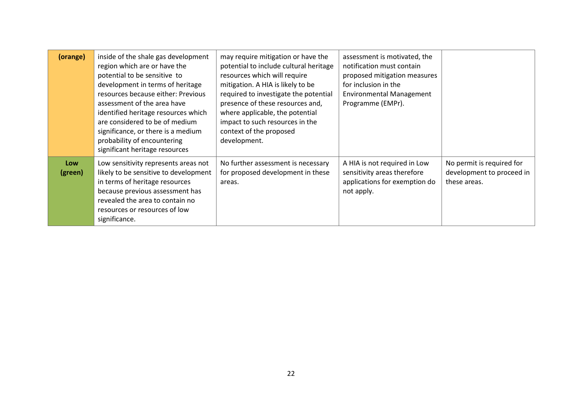| (orange)       | inside of the shale gas development<br>region which are or have the<br>potential to be sensitive to<br>development in terms of heritage<br>resources because either: Previous<br>assessment of the area have<br>identified heritage resources which<br>are considered to be of medium<br>significance, or there is a medium<br>probability of encountering<br>significant heritage resources | may require mitigation or have the<br>potential to include cultural heritage<br>resources which will require<br>mitigation. A HIA is likely to be<br>required to investigate the potential<br>presence of these resources and,<br>where applicable, the potential<br>impact to such resources in the<br>context of the proposed<br>development. | assessment is motivated, the<br>notification must contain<br>proposed mitigation measures<br>for inclusion in the<br><b>Environmental Management</b><br>Programme (EMPr). |                                                                        |
|----------------|----------------------------------------------------------------------------------------------------------------------------------------------------------------------------------------------------------------------------------------------------------------------------------------------------------------------------------------------------------------------------------------------|-------------------------------------------------------------------------------------------------------------------------------------------------------------------------------------------------------------------------------------------------------------------------------------------------------------------------------------------------|---------------------------------------------------------------------------------------------------------------------------------------------------------------------------|------------------------------------------------------------------------|
| Low<br>(green) | Low sensitivity represents areas not<br>likely to be sensitive to development<br>in terms of heritage resources<br>because previous assessment has<br>revealed the area to contain no<br>resources or resources of low<br>significance.                                                                                                                                                      | No further assessment is necessary<br>for proposed development in these<br>areas.                                                                                                                                                                                                                                                               | A HIA is not required in Low<br>sensitivity areas therefore<br>applications for exemption do<br>not apply.                                                                | No permit is required for<br>development to proceed in<br>these areas. |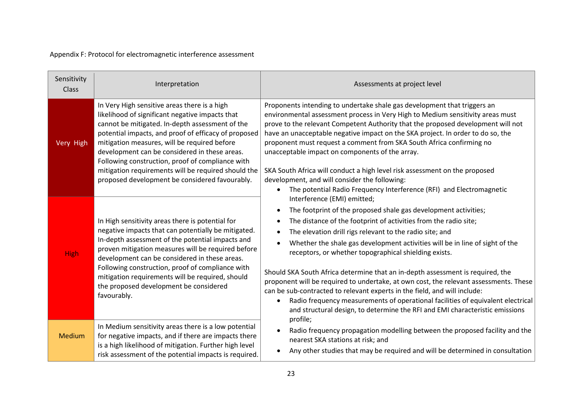Appendix F: Protocol for electromagnetic interference assessment

| Sensitivity<br>Class | Interpretation                                                                                                                                                                                                                                                                                                                                                                                                                                                           | Assessments at project level                                                                                                                                                                                                                                                                                                                                                                                                                                                                                                                                                                                                                                                                                                                                                                       |  |
|----------------------|--------------------------------------------------------------------------------------------------------------------------------------------------------------------------------------------------------------------------------------------------------------------------------------------------------------------------------------------------------------------------------------------------------------------------------------------------------------------------|----------------------------------------------------------------------------------------------------------------------------------------------------------------------------------------------------------------------------------------------------------------------------------------------------------------------------------------------------------------------------------------------------------------------------------------------------------------------------------------------------------------------------------------------------------------------------------------------------------------------------------------------------------------------------------------------------------------------------------------------------------------------------------------------------|--|
| Very High            | In Very High sensitive areas there is a high<br>likelihood of significant negative impacts that<br>cannot be mitigated. In-depth assessment of the<br>potential impacts, and proof of efficacy of proposed<br>mitigation measures, will be required before<br>development can be considered in these areas.<br>Following construction, proof of compliance with<br>mitigation requirements will be required should the<br>proposed development be considered favourably. | Proponents intending to undertake shale gas development that triggers an<br>environmental assessment process in Very High to Medium sensitivity areas must<br>prove to the relevant Competent Authority that the proposed development will not<br>have an unacceptable negative impact on the SKA project. In order to do so, the<br>proponent must request a comment from SKA South Africa confirming no<br>unacceptable impact on components of the array.<br>SKA South Africa will conduct a high level risk assessment on the proposed<br>development, and will consider the following:<br>The potential Radio Frequency Interference (RFI) and Electromagnetic                                                                                                                                |  |
| <b>High</b>          | In High sensitivity areas there is potential for<br>negative impacts that can potentially be mitigated.<br>In-depth assessment of the potential impacts and<br>proven mitigation measures will be required before<br>development can be considered in these areas.<br>Following construction, proof of compliance with<br>mitigation requirements will be required, should<br>the proposed development be considered<br>favourably.                                      | Interference (EMI) emitted;<br>The footprint of the proposed shale gas development activities;<br>The distance of the footprint of activities from the radio site;<br>The elevation drill rigs relevant to the radio site; and<br>Whether the shale gas development activities will be in line of sight of the<br>receptors, or whether topographical shielding exists.<br>Should SKA South Africa determine that an in-depth assessment is required, the<br>proponent will be required to undertake, at own cost, the relevant assessments. These<br>can be sub-contracted to relevant experts in the field, and will include:<br>Radio frequency measurements of operational facilities of equivalent electrical<br>and structural design, to determine the RFI and EMI characteristic emissions |  |
| <b>Medium</b>        | In Medium sensitivity areas there is a low potential<br>for negative impacts, and if there are impacts there<br>is a high likelihood of mitigation. Further high level<br>risk assessment of the potential impacts is required.                                                                                                                                                                                                                                          | profile;<br>Radio frequency propagation modelling between the proposed facility and the<br>nearest SKA stations at risk; and<br>Any other studies that may be required and will be determined in consultation                                                                                                                                                                                                                                                                                                                                                                                                                                                                                                                                                                                      |  |